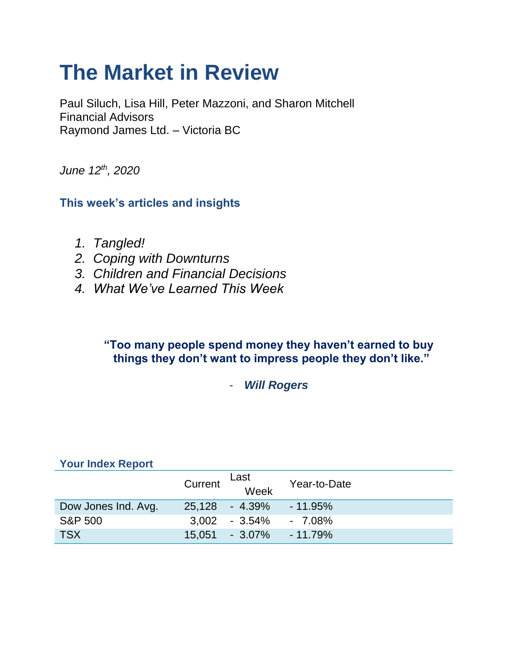# **The Market in Review**

Paul Siluch, Lisa Hill, Peter Mazzoni, and Sharon Mitchell Financial Advisors Raymond James Ltd. – Victoria BC

*June 12th, 2020*

**This week's articles and insights**

- *1. Tangled!*
- *2. Coping with Downturns*
- *3. Children and Financial Decisions*
- *4. What We've Learned This Week*

#### **"Too many people spend money they haven't earned to buy things they don't want to impress people they don't like."**

- *Will Rogers* 

#### **Your Index Report**

|                     | Current | Last<br>Week                  | Year-to-Date |
|---------------------|---------|-------------------------------|--------------|
| Dow Jones Ind. Avg. |         | 25,128 - 4.39%                | $-11.95%$    |
| <b>S&amp;P 500</b>  |         | $3.002$ - $3.54\%$ - $7.08\%$ |              |
| <b>TSX</b>          |         | 15.051 - 3.07%                | $-11.79\%$   |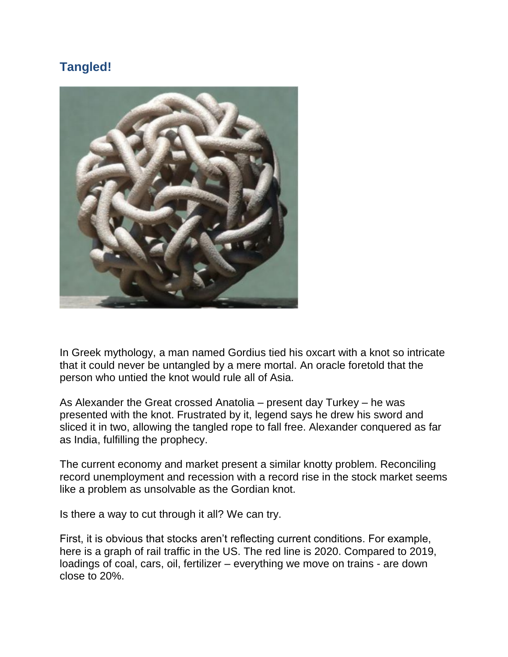# **Tangled!**



In Greek mythology, a man named Gordius tied his oxcart with a knot so intricate that it could never be untangled by a mere mortal. An oracle foretold that the person who untied the knot would rule all of Asia.

As Alexander the Great crossed Anatolia – present day Turkey – he was presented with the knot. Frustrated by it, legend says he drew his sword and sliced it in two, allowing the tangled rope to fall free. Alexander conquered as far as India, fulfilling the prophecy.

The current economy and market present a similar knotty problem. Reconciling record unemployment and recession with a record rise in the stock market seems like a problem as unsolvable as the Gordian knot.

Is there a way to cut through it all? We can try.

First, it is obvious that stocks aren't reflecting current conditions. For example, here is a graph of rail traffic in the US. The red line is 2020. Compared to 2019, loadings of coal, cars, oil, fertilizer – everything we move on trains - are down close to 20%.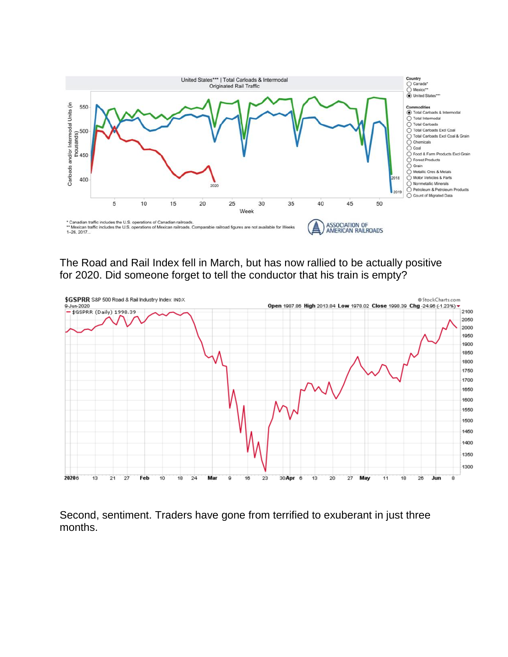

The Road and Rail Index fell in March, but has now rallied to be actually positive for 2020. Did someone forget to tell the conductor that his train is empty?



Second, sentiment. Traders have gone from terrified to exuberant in just three months.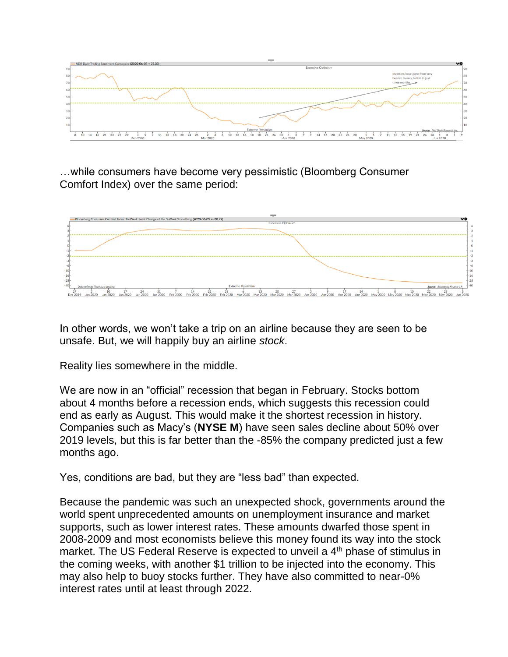

…while consumers have become very pessimistic (Bloomberg Consumer Comfort Index) over the same period:



In other words, we won't take a trip on an airline because they are seen to be unsafe. But, we will happily buy an airline *stock*.

Reality lies somewhere in the middle.

We are now in an "official" recession that began in February. Stocks bottom about 4 months before a recession ends, which suggests this recession could end as early as August. This would make it the shortest recession in history. Companies such as Macy's (**NYSE M**) have seen sales decline about 50% over 2019 levels, but this is far better than the -85% the company predicted just a few months ago.

Yes, conditions are bad, but they are "less bad" than expected.

Because the pandemic was such an unexpected shock, governments around the world spent unprecedented amounts on unemployment insurance and market supports, such as lower interest rates. These amounts dwarfed those spent in 2008-2009 and most economists believe this money found its way into the stock market. The US Federal Reserve is expected to unveil a 4<sup>th</sup> phase of stimulus in the coming weeks, with another \$1 trillion to be injected into the economy. This may also help to buoy stocks further. They have also committed to near-0% interest rates until at least through 2022.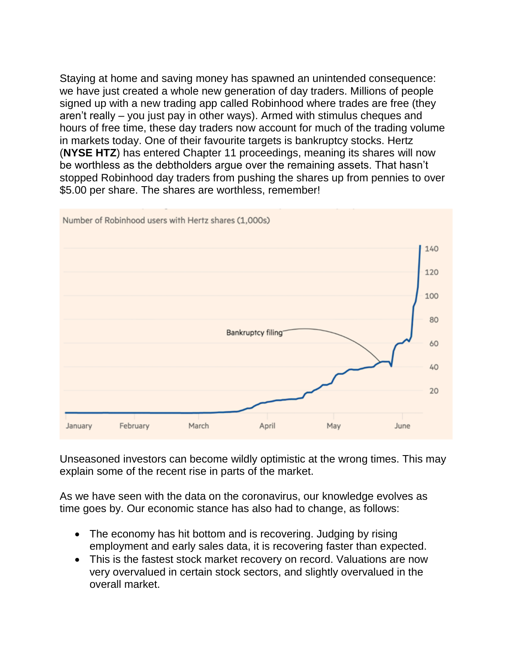Staying at home and saving money has spawned an unintended consequence: we have just created a whole new generation of day traders. Millions of people signed up with a new trading app called Robinhood where trades are free (they aren't really – you just pay in other ways). Armed with stimulus cheques and hours of free time, these day traders now account for much of the trading volume in markets today. One of their favourite targets is bankruptcy stocks. Hertz (**NYSE HTZ**) has entered Chapter 11 proceedings, meaning its shares will now be worthless as the debtholders argue over the remaining assets. That hasn't stopped Robinhood day traders from pushing the shares up from pennies to over \$5.00 per share. The shares are worthless, remember!



Unseasoned investors can become wildly optimistic at the wrong times. This may explain some of the recent rise in parts of the market.

As we have seen with the data on the coronavirus, our knowledge evolves as time goes by. Our economic stance has also had to change, as follows:

- The economy has hit bottom and is recovering. Judging by rising employment and early sales data, it is recovering faster than expected.
- This is the fastest stock market recovery on record. Valuations are now very overvalued in certain stock sectors, and slightly overvalued in the overall market.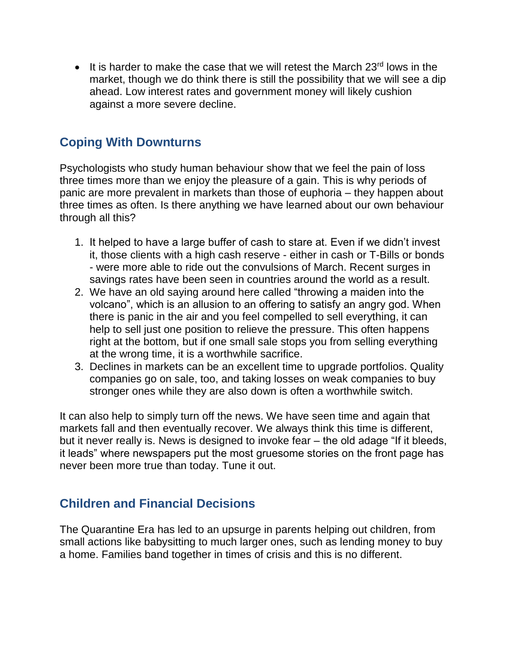It is harder to make the case that we will retest the March  $23<sup>rd</sup>$  lows in the market, though we do think there is still the possibility that we will see a dip ahead. Low interest rates and government money will likely cushion against a more severe decline.

#### **Coping With Downturns**

Psychologists who study human behaviour show that we feel the pain of loss three times more than we enjoy the pleasure of a gain. This is why periods of panic are more prevalent in markets than those of euphoria – they happen about three times as often. Is there anything we have learned about our own behaviour through all this?

- 1. It helped to have a large buffer of cash to stare at. Even if we didn't invest it, those clients with a high cash reserve - either in cash or T-Bills or bonds - were more able to ride out the convulsions of March. Recent surges in savings rates have been seen in countries around the world as a result.
- 2. We have an old saying around here called "throwing a maiden into the volcano", which is an allusion to an offering to satisfy an angry god. When there is panic in the air and you feel compelled to sell everything, it can help to sell just one position to relieve the pressure. This often happens right at the bottom, but if one small sale stops you from selling everything at the wrong time, it is a worthwhile sacrifice.
- 3. Declines in markets can be an excellent time to upgrade portfolios. Quality companies go on sale, too, and taking losses on weak companies to buy stronger ones while they are also down is often a worthwhile switch.

It can also help to simply turn off the news. We have seen time and again that markets fall and then eventually recover. We always think this time is different, but it never really is. News is designed to invoke fear – the old adage "If it bleeds, it leads" where newspapers put the most gruesome stories on the front page has never been more true than today. Tune it out.

## **Children and Financial Decisions**

The Quarantine Era has led to an upsurge in parents helping out children, from small actions like babysitting to much larger ones, such as lending money to buy a home. Families band together in times of crisis and this is no different.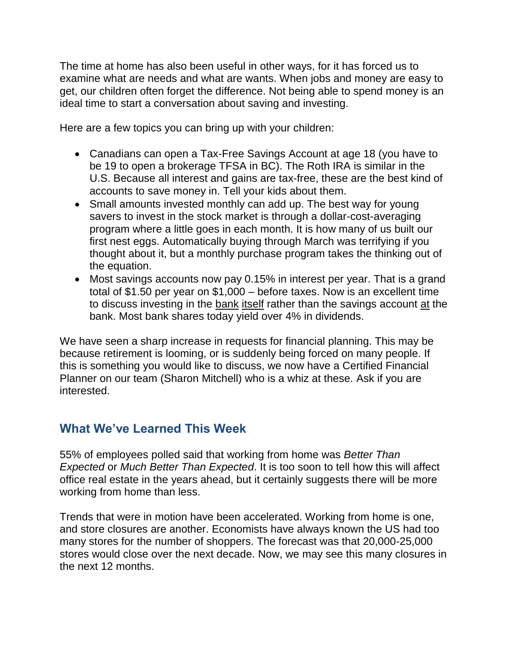The time at home has also been useful in other ways, for it has forced us to examine what are needs and what are wants. When jobs and money are easy to get, our children often forget the difference. Not being able to spend money is an ideal time to start a conversation about saving and investing.

Here are a few topics you can bring up with your children:

- Canadians can open a Tax-Free Savings Account at age 18 (you have to be 19 to open a brokerage TFSA in BC). The Roth IRA is similar in the U.S. Because all interest and gains are tax-free, these are the best kind of accounts to save money in. Tell your kids about them.
- Small amounts invested monthly can add up. The best way for young savers to invest in the stock market is through a dollar-cost-averaging program where a little goes in each month. It is how many of us built our first nest eggs. Automatically buying through March was terrifying if you thought about it, but a monthly purchase program takes the thinking out of the equation.
- Most savings accounts now pay 0.15% in interest per year. That is a grand total of \$1.50 per year on \$1,000 – before taxes. Now is an excellent time to discuss investing in the bank itself rather than the savings account at the bank. Most bank shares today yield over 4% in dividends.

We have seen a sharp increase in requests for financial planning. This may be because retirement is looming, or is suddenly being forced on many people. If this is something you would like to discuss, we now have a Certified Financial Planner on our team (Sharon Mitchell) who is a whiz at these. Ask if you are interested.

## **What We've Learned This Week**

55% of employees polled said that working from home was *Better Than Expected* or *Much Better Than Expected*. It is too soon to tell how this will affect office real estate in the years ahead, but it certainly suggests there will be more working from home than less.

Trends that were in motion have been accelerated. Working from home is one, and store closures are another. Economists have always known the US had too many stores for the number of shoppers. The forecast was that 20,000-25,000 stores would close over the next decade. Now, we may see this many closures in the next 12 months.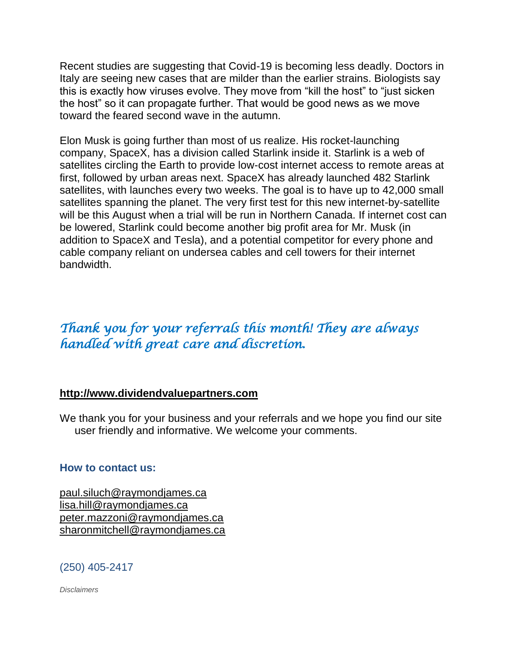Recent studies are suggesting that Covid-19 is becoming less deadly. Doctors in Italy are seeing new cases that are milder than the earlier strains. Biologists say this is exactly how viruses evolve. They move from "kill the host" to "just sicken the host" so it can propagate further. That would be good news as we move toward the feared second wave in the autumn.

Elon Musk is going further than most of us realize. His rocket-launching company, SpaceX, has a division called Starlink inside it. Starlink is a web of satellites circling the Earth to provide low-cost internet access to remote areas at first, followed by urban areas next. SpaceX has already launched 482 Starlink satellites, with launches every two weeks. The goal is to have up to 42,000 small satellites spanning the planet. The very first test for this new internet-by-satellite will be this August when a trial will be run in Northern Canada. If internet cost can be lowered, Starlink could become another big profit area for Mr. Musk (in addition to SpaceX and Tesla), and a potential competitor for every phone and cable company reliant on undersea cables and cell towers for their internet bandwidth.

# *Thank you for your referrals this month! They are always handled with great care and discretion.*

#### **[http://www.dividendvaluepartners.com](https://urldefense.proofpoint.com/v2/url?u=http-3A__www.dividendvaluepartners.com&d=DwMFAw&c=K3dQCUGiI1B95NJ6cl3GoyhMW2dvBOfimZA-83UXll0&r=_6MBBSGYsFznIBwslhTiqBKEz4pHUCTd_9tbh_EpUMY&m=scBAtuMDuWZwK1IVr5YXjdB6aRS-faGHAMq3jOn6sJU&s=enZqe4ZgcjH_33x5dT-vZq9A37d4AhNkXvjc6AbmYww&e=)**

We thank you for your business and your referrals and we hope you find our site user friendly and informative. We welcome your comments.

#### **How to contact us:**

[paul.siluch@raymondjames.ca](https://owa-kel.raymondjames.ca/owa/redir.aspx?SURL=z0BxOCXDlQ-Aad1f_a9igaARxm5Rd1VXE7UcmD4mZ3IZiacj7DPTCG0AYQBpAGwAdABvADoAcABhAHUAbAAuAHMAaQBsAHUAYwBoAEAAcgBhAHkAbQBvAG4AZABqAGEAbQBlAHMALgBjAGEA&URL=mailto%3apaul.siluch%40raymondjames.ca) [lisa.hill@raymondjames.ca](https://owa-kel.raymondjames.ca/owa/redir.aspx?SURL=glaBgdTdxPMFpiw4eumg-PzZXpo9vJyObrXLs1TKtIAZiacj7DPTCG0AYQBpAGwAdABvADoAbABpAHMAYQAuAGgAaQBsAGwAQAByAGEAeQBtAG8AbgBkAGoAYQBtAGUAcwAuAGMAYQA.&URL=mailto%3alisa.hill%40raymondjames.ca) [peter.mazzoni@raymondjames.ca](https://owa-kel.raymondjames.ca/owa/redir.aspx?SURL=3c7mDL9-cZxYXt7CvkOu20QVFy1WCaDQxUZ3BQE6vecZiacj7DPTCG0AYQBpAGwAdABvADoAcABlAHQAZQByAC4AbQBhAHoAegBvAG4AaQBAAHIAYQB5AG0AbwBuAGQAagBhAG0AZQBzAC4AYwBhAA..&URL=mailto%3apeter.mazzoni%40raymondjames.ca) [sharonmitchell@raymondjames.ca](mailto:sharonmitchell@raymondjames.ca)

#### (250) 405-2417

*Disclaimers*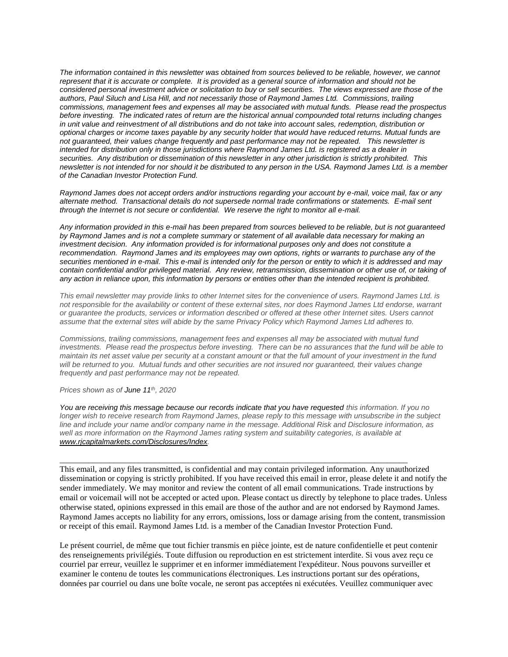*[The information contained in this newsletter was obtained from sources believed to be reliable, however, we cannot](https://owa-kel.raymondjames.ca/owa/redir.aspx?SURL=z0BxOCXDlQ-Aad1f_a9igaARxm5Rd1VXE7UcmD4mZ3IZiacj7DPTCG0AYQBpAGwAdABvADoAcABhAHUAbAAuAHMAaQBsAHUAYwBoAEAAcgBhAHkAbQBvAG4AZABqAGEAbQBlAHMALgBjAGEA&URL=mailto%3apaul.siluch%40raymondjames.ca)  represent that it is accurate or complete. [It is provided as a general source of information and should not be](https://owa-kel.raymondjames.ca/owa/redir.aspx?SURL=z0BxOCXDlQ-Aad1f_a9igaARxm5Rd1VXE7UcmD4mZ3IZiacj7DPTCG0AYQBpAGwAdABvADoAcABhAHUAbAAuAHMAaQBsAHUAYwBoAEAAcgBhAHkAbQBvAG4AZABqAGEAbQBlAHMALgBjAGEA&URL=mailto%3apaul.siluch%40raymondjames.ca)  [considered personal investment advice or solicitation to buy or sell securities.](https://owa-kel.raymondjames.ca/owa/redir.aspx?SURL=z0BxOCXDlQ-Aad1f_a9igaARxm5Rd1VXE7UcmD4mZ3IZiacj7DPTCG0AYQBpAGwAdABvADoAcABhAHUAbAAuAHMAaQBsAHUAYwBoAEAAcgBhAHkAbQBvAG4AZABqAGEAbQBlAHMALgBjAGEA&URL=mailto%3apaul.siluch%40raymondjames.ca) The views expressed are those of the [authors, Paul Siluch and Lisa Hill, and not necessarily those of Raymond James Ltd.](https://owa-kel.raymondjames.ca/owa/redir.aspx?SURL=z0BxOCXDlQ-Aad1f_a9igaARxm5Rd1VXE7UcmD4mZ3IZiacj7DPTCG0AYQBpAGwAdABvADoAcABhAHUAbAAuAHMAaQBsAHUAYwBoAEAAcgBhAHkAbQBvAG4AZABqAGEAbQBlAHMALgBjAGEA&URL=mailto%3apaul.siluch%40raymondjames.ca) Commissions, trailing [commissions, management fees and expenses all may be associated with mutual funds.](https://owa-kel.raymondjames.ca/owa/redir.aspx?SURL=z0BxOCXDlQ-Aad1f_a9igaARxm5Rd1VXE7UcmD4mZ3IZiacj7DPTCG0AYQBpAGwAdABvADoAcABhAHUAbAAuAHMAaQBsAHUAYwBoAEAAcgBhAHkAbQBvAG4AZABqAGEAbQBlAHMALgBjAGEA&URL=mailto%3apaul.siluch%40raymondjames.ca) Please read the prospectus before investing. [The indicated rates of return are the historical annual compounded total returns including changes](https://owa-kel.raymondjames.ca/owa/redir.aspx?SURL=z0BxOCXDlQ-Aad1f_a9igaARxm5Rd1VXE7UcmD4mZ3IZiacj7DPTCG0AYQBpAGwAdABvADoAcABhAHUAbAAuAHMAaQBsAHUAYwBoAEAAcgBhAHkAbQBvAG4AZABqAGEAbQBlAHMALgBjAGEA&URL=mailto%3apaul.siluch%40raymondjames.ca)  [in unit value and reinvestment of all distributions and do not take into account sales, redemption, distribution or](https://owa-kel.raymondjames.ca/owa/redir.aspx?SURL=z0BxOCXDlQ-Aad1f_a9igaARxm5Rd1VXE7UcmD4mZ3IZiacj7DPTCG0AYQBpAGwAdABvADoAcABhAHUAbAAuAHMAaQBsAHUAYwBoAEAAcgBhAHkAbQBvAG4AZABqAGEAbQBlAHMALgBjAGEA&URL=mailto%3apaul.siluch%40raymondjames.ca)  [optional charges or income taxes payable by any security holder that would have reduced returns. Mutual funds are](https://owa-kel.raymondjames.ca/owa/redir.aspx?SURL=z0BxOCXDlQ-Aad1f_a9igaARxm5Rd1VXE7UcmD4mZ3IZiacj7DPTCG0AYQBpAGwAdABvADoAcABhAHUAbAAuAHMAaQBsAHUAYwBoAEAAcgBhAHkAbQBvAG4AZABqAGEAbQBlAHMALgBjAGEA&URL=mailto%3apaul.siluch%40raymondjames.ca)  [not guaranteed, their values change frequently and past performance may not be repeated.](https://owa-kel.raymondjames.ca/owa/redir.aspx?SURL=z0BxOCXDlQ-Aad1f_a9igaARxm5Rd1VXE7UcmD4mZ3IZiacj7DPTCG0AYQBpAGwAdABvADoAcABhAHUAbAAuAHMAaQBsAHUAYwBoAEAAcgBhAHkAbQBvAG4AZABqAGEAbQBlAHMALgBjAGEA&URL=mailto%3apaul.siluch%40raymondjames.ca) This newsletter is [intended for distribution only in those jurisdictions where Raymond James Ltd. is registered as a dealer in](https://owa-kel.raymondjames.ca/owa/redir.aspx?SURL=z0BxOCXDlQ-Aad1f_a9igaARxm5Rd1VXE7UcmD4mZ3IZiacj7DPTCG0AYQBpAGwAdABvADoAcABhAHUAbAAuAHMAaQBsAHUAYwBoAEAAcgBhAHkAbQBvAG4AZABqAGEAbQBlAHMALgBjAGEA&URL=mailto%3apaul.siluch%40raymondjames.ca)  securities. [Any distribution or dissemination of this newsletter in any other jurisdiction is strictly prohibited.](https://owa-kel.raymondjames.ca/owa/redir.aspx?SURL=z0BxOCXDlQ-Aad1f_a9igaARxm5Rd1VXE7UcmD4mZ3IZiacj7DPTCG0AYQBpAGwAdABvADoAcABhAHUAbAAuAHMAaQBsAHUAYwBoAEAAcgBhAHkAbQBvAG4AZABqAGEAbQBlAHMALgBjAGEA&URL=mailto%3apaul.siluch%40raymondjames.ca) This [newsletter is not intended for nor should it be distributed to any person in the USA. Raymond James Ltd. is a member](https://owa-kel.raymondjames.ca/owa/redir.aspx?SURL=z0BxOCXDlQ-Aad1f_a9igaARxm5Rd1VXE7UcmD4mZ3IZiacj7DPTCG0AYQBpAGwAdABvADoAcABhAHUAbAAuAHMAaQBsAHUAYwBoAEAAcgBhAHkAbQBvAG4AZABqAGEAbQBlAHMALgBjAGEA&URL=mailto%3apaul.siluch%40raymondjames.ca)  [of the Canadian Investor Protection Fund.](https://owa-kel.raymondjames.ca/owa/redir.aspx?SURL=z0BxOCXDlQ-Aad1f_a9igaARxm5Rd1VXE7UcmD4mZ3IZiacj7DPTCG0AYQBpAGwAdABvADoAcABhAHUAbAAuAHMAaQBsAHUAYwBoAEAAcgBhAHkAbQBvAG4AZABqAGEAbQBlAHMALgBjAGEA&URL=mailto%3apaul.siluch%40raymondjames.ca)* 

*Raymond James [does not accept orders and/or instructions regarding your account by e-mail, voice mail, fax or any](https://owa-kel.raymondjames.ca/owa/redir.aspx?SURL=z0BxOCXDlQ-Aad1f_a9igaARxm5Rd1VXE7UcmD4mZ3IZiacj7DPTCG0AYQBpAGwAdABvADoAcABhAHUAbAAuAHMAaQBsAHUAYwBoAEAAcgBhAHkAbQBvAG4AZABqAGEAbQBlAHMALgBjAGEA&URL=mailto%3apaul.siluch%40raymondjames.ca)  alternate method. [Transactional details do not supersede normal trade confirmations or statements.](https://owa-kel.raymondjames.ca/owa/redir.aspx?SURL=z0BxOCXDlQ-Aad1f_a9igaARxm5Rd1VXE7UcmD4mZ3IZiacj7DPTCG0AYQBpAGwAdABvADoAcABhAHUAbAAuAHMAaQBsAHUAYwBoAEAAcgBhAHkAbQBvAG4AZABqAGEAbQBlAHMALgBjAGEA&URL=mailto%3apaul.siluch%40raymondjames.ca) E-mail sent [through the Internet is not secure or confidential.](https://owa-kel.raymondjames.ca/owa/redir.aspx?SURL=z0BxOCXDlQ-Aad1f_a9igaARxm5Rd1VXE7UcmD4mZ3IZiacj7DPTCG0AYQBpAGwAdABvADoAcABhAHUAbAAuAHMAaQBsAHUAYwBoAEAAcgBhAHkAbQBvAG4AZABqAGEAbQBlAHMALgBjAGEA&URL=mailto%3apaul.siluch%40raymondjames.ca) We reserve the right to monitor all e-mail.*

*[Any information provided in this e-mail has been prepared from sources believed to be reliable, but is not guaranteed](https://owa-kel.raymondjames.ca/owa/redir.aspx?SURL=z0BxOCXDlQ-Aad1f_a9igaARxm5Rd1VXE7UcmD4mZ3IZiacj7DPTCG0AYQBpAGwAdABvADoAcABhAHUAbAAuAHMAaQBsAHUAYwBoAEAAcgBhAHkAbQBvAG4AZABqAGEAbQBlAHMALgBjAGEA&URL=mailto%3apaul.siluch%40raymondjames.ca)  by Raymond James [and is not a complete summary or statement of all available data necessary for making an](https://owa-kel.raymondjames.ca/owa/redir.aspx?SURL=z0BxOCXDlQ-Aad1f_a9igaARxm5Rd1VXE7UcmD4mZ3IZiacj7DPTCG0AYQBpAGwAdABvADoAcABhAHUAbAAuAHMAaQBsAHUAYwBoAEAAcgBhAHkAbQBvAG4AZABqAGEAbQBlAHMALgBjAGEA&URL=mailto%3apaul.siluch%40raymondjames.ca)  investment decision. [Any information provided is for informational purposes only and does not constitute a](https://owa-kel.raymondjames.ca/owa/redir.aspx?SURL=z0BxOCXDlQ-Aad1f_a9igaARxm5Rd1VXE7UcmD4mZ3IZiacj7DPTCG0AYQBpAGwAdABvADoAcABhAHUAbAAuAHMAaQBsAHUAYwBoAEAAcgBhAHkAbQBvAG4AZABqAGEAbQBlAHMALgBjAGEA&URL=mailto%3apaul.siluch%40raymondjames.ca)  recommendation. Raymond James [and its employees may own options, rights or warrants to purchase any of the](https://owa-kel.raymondjames.ca/owa/redir.aspx?SURL=z0BxOCXDlQ-Aad1f_a9igaARxm5Rd1VXE7UcmD4mZ3IZiacj7DPTCG0AYQBpAGwAdABvADoAcABhAHUAbAAuAHMAaQBsAHUAYwBoAEAAcgBhAHkAbQBvAG4AZABqAGEAbQBlAHMALgBjAGEA&URL=mailto%3apaul.siluch%40raymondjames.ca)  securities mentioned in e-mail. [This e-mail is intended only for the person or entity to which it is addressed and may](https://owa-kel.raymondjames.ca/owa/redir.aspx?SURL=z0BxOCXDlQ-Aad1f_a9igaARxm5Rd1VXE7UcmD4mZ3IZiacj7DPTCG0AYQBpAGwAdABvADoAcABhAHUAbAAuAHMAaQBsAHUAYwBoAEAAcgBhAHkAbQBvAG4AZABqAGEAbQBlAHMALgBjAGEA&URL=mailto%3apaul.siluch%40raymondjames.ca)  contain confidential and/or privileged material. [Any review, retransmission, dissemination or other use of, or taking of](https://owa-kel.raymondjames.ca/owa/redir.aspx?SURL=z0BxOCXDlQ-Aad1f_a9igaARxm5Rd1VXE7UcmD4mZ3IZiacj7DPTCG0AYQBpAGwAdABvADoAcABhAHUAbAAuAHMAaQBsAHUAYwBoAEAAcgBhAHkAbQBvAG4AZABqAGEAbQBlAHMALgBjAGEA&URL=mailto%3apaul.siluch%40raymondjames.ca)  [any action in reliance upon, this information by persons or entities other than the intended recipient is prohibited.](https://owa-kel.raymondjames.ca/owa/redir.aspx?SURL=z0BxOCXDlQ-Aad1f_a9igaARxm5Rd1VXE7UcmD4mZ3IZiacj7DPTCG0AYQBpAGwAdABvADoAcABhAHUAbAAuAHMAaQBsAHUAYwBoAEAAcgBhAHkAbQBvAG4AZABqAGEAbQBlAHMALgBjAGEA&URL=mailto%3apaul.siluch%40raymondjames.ca)*

*This email newsletter may provide links to other Internet sites for the convenience of users. Raymond James Ltd. is not responsible for the availability or content of these external sites, nor does Raymond James Ltd endorse, warrant or guarantee the products, services or information described or offered at these other Internet sites. Users cannot assume that the external sites will abide by the same Privacy Policy which Raymond James Ltd adheres to.*

*Commissions, trailing commissions, management fees and expenses all may be associated with mutual fund investments. Please read the prospectus before investing. There can be no assurances that the fund will be able to maintain its net asset value per security at a constant amount or that the full amount of your investment in the fund will be returned to you. Mutual funds and other securities are not insured nor guaranteed, their values change frequently and past performance may not be repeated.*

*Prices shown as of June 11th, 2020*

*You are receiving this message because our records indicate that you have requested this information. If you no longer wish to receive research from Raymond James, please reply to this message with unsubscribe in the subject line and include your name and/or company name in the message. Additional Risk and Disclosure information, as well as more information on the Raymond James rating system and suitability categories, is available at [www.rjcapitalmarkets.com/Disclosures/Index.](https://owa-kel.raymondjames.ca/owa/redir.aspx?SURL=xhOB4gpVfLOskwdkUL9L2f18Fq4IG2rgvMfuIIX7BlwZiacj7DPTCGgAdAB0AHAAOgAvAC8AdwB3AHcALgByAGoAYwBhAHAAaQB0AGEAbABtAGEAcgBrAGUAdABzAC4AYwBvAG0ALwBEAGkAcwBjAGwAbwBzAHUAcgBlAHMALwBJAG4AZABlAHgA&URL=http%3a%2f%2fwww.rjcapitalmarkets.com%2fDisclosures%2fIndex)*

\_\_\_\_\_\_\_\_\_\_\_\_\_\_\_\_\_\_\_\_\_\_\_\_\_\_\_\_\_\_\_\_\_\_\_\_\_\_\_\_\_\_\_\_\_\_\_\_\_\_\_\_\_\_\_\_\_\_\_\_\_\_\_\_\_\_\_\_\_\_\_\_\_\_\_\_\_\_\_\_\_\_\_\_

This email, and any files transmitted, is confidential and may contain privileged information. Any unauthorized dissemination or copying is strictly prohibited. If you have received this email in error, please delete it and notify the sender immediately. We may monitor and review the content of all email communications. Trade instructions by email or voicemail will not be accepted or acted upon. Please contact us directly by telephone to place trades. Unless otherwise stated, opinions expressed in this email are those of the author and are not endorsed by Raymond James. Raymond James accepts no liability for any errors, omissions, loss or damage arising from the content, transmission or receipt of this email. Raymond James Ltd. is a member of the Canadian Investor Protection Fund.

Le présent courriel, de même que tout fichier transmis en pièce jointe, est de nature confidentielle et peut contenir des renseignements privilégiés. Toute diffusion ou reproduction en est strictement interdite. Si vous avez reçu ce courriel par erreur, veuillez le supprimer et en informer immédiatement l'expéditeur. Nous pouvons surveiller et examiner le contenu de toutes les communications électroniques. Les instructions portant sur des opérations, données par courriel ou dans une boîte vocale, ne seront pas acceptées ni exécutées. Veuillez communiquer avec